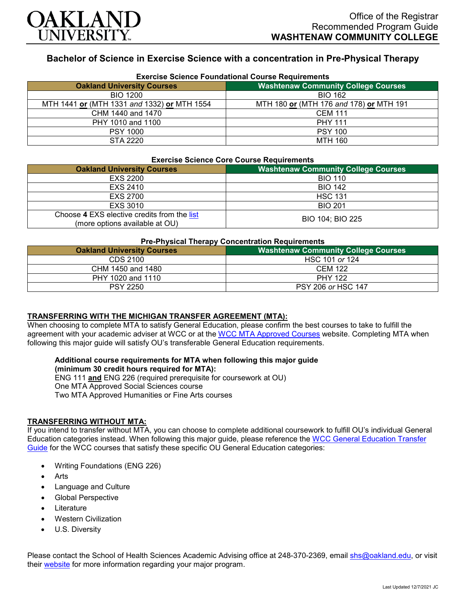

# **Bachelor of Science in Exercise Science with a concentration in Pre-Physical Therapy**

| <b>Exercise Science Foundational Course Requirements</b> |                                            |  |
|----------------------------------------------------------|--------------------------------------------|--|
| <b>Oakland University Courses</b>                        | <b>Washtenaw Community College Courses</b> |  |
| <b>BIO 1200</b>                                          | <b>BIO 162</b>                             |  |
| MTH 1441 or (MTH 1331 and 1332) or MTH 1554              | MTH 180 or (MTH 176 and 178) or MTH 191    |  |
| CHM 1440 and 1470                                        | <b>CEM 111</b>                             |  |
| PHY 1010 and 1100                                        | <b>PHY 111</b>                             |  |
| <b>PSY 1000</b>                                          | <b>PSY 100</b>                             |  |
| STA 2220                                                 | <b>MTH 160</b>                             |  |

#### **Exercise Science Core Course Requirements**

| <b>Oakland University Courses</b>                                             | <b>Washtenaw Community College Courses</b> |
|-------------------------------------------------------------------------------|--------------------------------------------|
| <b>EXS 2200</b>                                                               | <b>BIO 110</b>                             |
| EXS 2410                                                                      | <b>BIO 142</b>                             |
| <b>EXS 2700</b>                                                               | <b>HSC 131</b>                             |
| EXS 3010                                                                      | <b>BIO 201</b>                             |
| Choose 4 EXS elective credits from the list<br>(more options available at OU) | BIO 104; BIO 225                           |

#### **Pre-Physical Therapy Concentration Requirements**

| . .<br><b>Oakland University Courses</b> | <b>Washtenaw Community College Courses</b> |
|------------------------------------------|--------------------------------------------|
| CDS 2100                                 | HSC 101 or 124                             |
| CHM 1450 and 1480                        | <b>CEM 122</b>                             |
| PHY 1020 and 1110                        | <b>PHY 122</b>                             |
| <b>PSY 2250</b>                          | <b>PSY 206 or HSC 147</b>                  |

## **TRANSFERRING WITH THE MICHIGAN TRANSFER AGREEMENT (MTA):**

When choosing to complete MTA to satisfy General Education, please confirm the best courses to take to fulfill the agreement with your academic adviser at WCC or at the [WCC MTA Approved Courses](http://www.wccnet.edu/services/transferresources/mta/) website. Completing MTA when following this major guide will satisfy OU's transferable General Education requirements.

### **Additional course requirements for MTA when following this major guide (minimum 30 credit hours required for MTA):**

ENG 111 **and** ENG 226 (required prerequisite for coursework at OU) One MTA Approved Social Sciences course Two MTA Approved Humanities or Fine Arts courses

### **TRANSFERRING WITHOUT MTA:**

If you intend to transfer without MTA, you can choose to complete additional coursework to fulfill OU's individual General Education categories instead. When following this major guide, please reference the [WCC General Education Transfer](https://www.oakland.edu/Assets/Oakland/program-guides/washtenaw-community-college/university-general-education-requirements/Washtenaw%20Gen%20Ed.pdf)  [Guide](https://www.oakland.edu/Assets/Oakland/program-guides/washtenaw-community-college/university-general-education-requirements/Washtenaw%20Gen%20Ed.pdf) for the WCC courses that satisfy these specific OU General Education categories:

- Writing Foundations (ENG 226)
- **Arts**
- Language and Culture
- Global Perspective
- **Literature**
- Western Civilization
- U.S. Diversity

Please contact the School of Health Sciences Academic Advising office at 248-370-2369, email [shs@oakland.edu,](mailto:shs@oakland.edu) or visit their [website](http://www.oakland.edu/shs/advising) for more information regarding your major program.